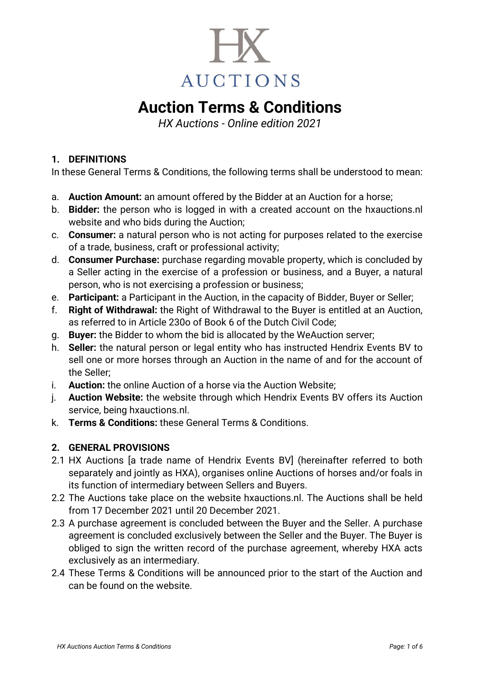

# **Auction Terms & Conditions**

*HX Auctions - Online edition 2021*

# **1. DEFINITIONS**

In these General Terms & Conditions, the following terms shall be understood to mean:

- a. **Auction Amount:** an amount offered by the Bidder at an Auction for a horse;
- b. **Bidder:** the person who is logged in with a created account on the hxauctions.nl website and who bids during the Auction;
- c. **Consumer:** a natural person who is not acting for purposes related to the exercise of a trade, business, craft or professional activity;
- d. **Consumer Purchase:** purchase regarding movable property, which is concluded by a Seller acting in the exercise of a profession or business, and a Buyer, a natural person, who is not exercising a profession or business;
- e. **Participant:** a Participant in the Auction, in the capacity of Bidder, Buyer or Seller;
- f. **Right of Withdrawal:** the Right of Withdrawal to the Buyer is entitled at an Auction, as referred to in Article 230o of Book 6 of the Dutch Civil Code;
- g. **Buyer:** the Bidder to whom the bid is allocated by the WeAuction server;
- h. **Seller:** the natural person or legal entity who has instructed Hendrix Events BV to sell one or more horses through an Auction in the name of and for the account of the Seller;
- i. **Auction:** the online Auction of a horse via the Auction Website;
- j. **Auction Website:** the website through which Hendrix Events BV offers its Auction service, being hxauctions.nl.
- k. **Terms & Conditions:** these General Terms & Conditions.

# **2. GENERAL PROVISIONS**

- 2.1 HX Auctions [a trade name of Hendrix Events BV] (hereinafter referred to both separately and jointly as HXA), organises online Auctions of horses and/or foals in its function of intermediary between Sellers and Buyers.
- 2.2 The Auctions take place on the website [hxauctions.nl.](http://www.limburgseveulenveiling.nl/) The Auctions shall be held from 17 December 2021 until 20 December 2021.
- 2.3 A purchase agreement is concluded between the Buyer and the Seller. A purchase agreement is concluded exclusively between the Seller and the Buyer. The Buyer is obliged to sign the written record of the purchase agreement, whereby HXA acts exclusively as an intermediary.
- 2.4 These Terms & Conditions will be announced prior to the start of the Auction and can be found on the website.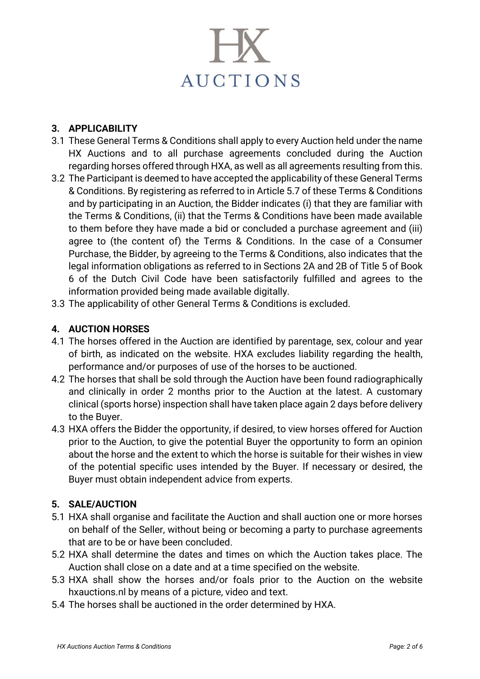

#### **3. APPLICABILITY**

- 3.1 These General Terms & Conditions shall apply to every Auction held under the name HX Auctions and to all purchase agreements concluded during the Auction regarding horses offered through HXA, as well as all agreements resulting from this.
- 3.2 The Participant is deemed to have accepted the applicability of these General Terms & Conditions. By registering as referred to in Article 5.7 of these Terms & Conditions and by participating in an Auction, the Bidder indicates (i) that they are familiar with the Terms & Conditions, (ii) that the Terms & Conditions have been made available to them before they have made a bid or concluded a purchase agreement and (iii) agree to (the content of) the Terms & Conditions. In the case of a Consumer Purchase, the Bidder, by agreeing to the Terms & Conditions, also indicates that the legal information obligations as referred to in Sections 2A and 2B of Title 5 of Book 6 of the Dutch Civil Code have been satisfactorily fulfilled and agrees to the information provided being made available digitally.
- 3.3 The applicability of other General Terms & Conditions is excluded.

#### **4. AUCTION HORSES**

- 4.1 The horses offered in the Auction are identified by parentage, sex, colour and year of birth, as indicated on the website. HXA excludes liability regarding the health, performance and/or purposes of use of the horses to be auctioned.
- 4.2 The horses that shall be sold through the Auction have been found radiographically and clinically in order 2 months prior to the Auction at the latest. A customary clinical (sports horse) inspection shall have taken place again 2 days before delivery to the Buyer.
- 4.3 HXA offers the Bidder the opportunity, if desired, to view horses offered for Auction prior to the Auction, to give the potential Buyer the opportunity to form an opinion about the horse and the extent to which the horse is suitable for their wishes in view of the potential specific uses intended by the Buyer. If necessary or desired, the Buyer must obtain independent advice from experts.

# **5. SALE/AUCTION**

- 5.1 HXA shall organise and facilitate the Auction and shall auction one or more horses on behalf of the Seller, without being or becoming a party to purchase agreements that are to be or have been concluded.
- 5.2 HXA shall determine the dates and times on which the Auction takes place. The Auction shall close on a date and at a time specified on the website.
- 5.3 HXA shall show the horses and/or foals prior to the Auction on the website hxauctions.nl by means of a picture, video and text.
- 5.4 The horses shall be auctioned in the order determined by HXA.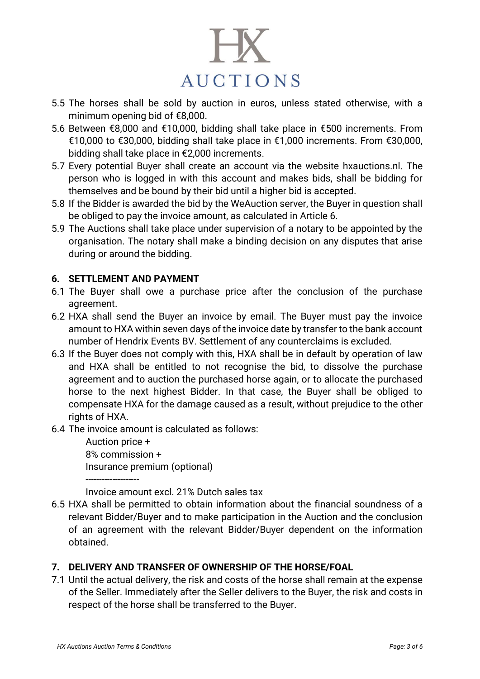

- 5.5 The horses shall be sold by auction in euros, unless stated otherwise, with a minimum opening bid of €8,000.
- 5.6 Between €8,000 and €10,000, bidding shall take place in €500 increments. From €10,000 to €30,000, bidding shall take place in €1,000 increments. From €30,000, bidding shall take place in €2,000 increments.
- 5.7 Every potential Buyer shall create an account via the website [hxauctions.nl.](http://www.limburgseveulenveiling.nl/) The person who is logged in with this account and makes bids, shall be bidding for themselves and be bound by their bid until a higher bid is accepted.
- 5.8 If the Bidder is awarded the bid by the WeAuction server, the Buyer in question shall be obliged to pay the invoice amount, as calculated in Article 6.
- 5.9 The Auctions shall take place under supervision of a notary to be appointed by the organisation. The notary shall make a binding decision on any disputes that arise during or around the bidding.

# **6. SETTLEMENT AND PAYMENT**

- 6.1 The Buyer shall owe a purchase price after the conclusion of the purchase agreement.
- 6.2 HXA shall send the Buyer an invoice by email. The Buyer must pay the invoice amount to HXA within seven days of the invoice date by transfer to the bank account number of Hendrix Events BV. Settlement of any counterclaims is excluded.
- 6.3 If the Buyer does not comply with this, HXA shall be in default by operation of law and HXA shall be entitled to not recognise the bid, to dissolve the purchase agreement and to auction the purchased horse again, or to allocate the purchased horse to the next highest Bidder. In that case, the Buyer shall be obliged to compensate HXA for the damage caused as a result, without prejudice to the other rights of HXA.
- 6.4 The invoice amount is calculated as follows:

Auction price + 8% commission + Insurance premium (optional) --------------------

Invoice amount excl. 21% Dutch sales tax

6.5 HXA shall be permitted to obtain information about the financial soundness of a relevant Bidder/Buyer and to make participation in the Auction and the conclusion of an agreement with the relevant Bidder/Buyer dependent on the information obtained.

# **7. DELIVERY AND TRANSFER OF OWNERSHIP OF THE HORSE/FOAL**

7.1 Until the actual delivery, the risk and costs of the horse shall remain at the expense of the Seller. Immediately after the Seller delivers to the Buyer, the risk and costs in respect of the horse shall be transferred to the Buyer.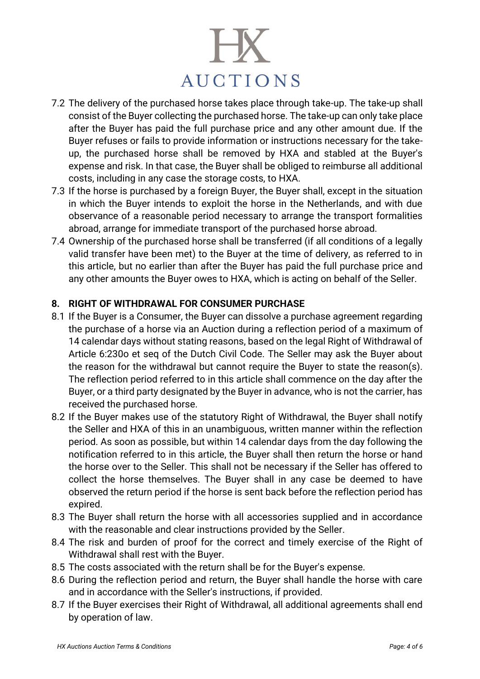# **AUCTIONS**

- 7.2 The delivery of the purchased horse takes place through take-up. The take-up shall consist of the Buyer collecting the purchased horse. The take-up can only take place after the Buyer has paid the full purchase price and any other amount due. If the Buyer refuses or fails to provide information or instructions necessary for the takeup, the purchased horse shall be removed by HXA and stabled at the Buyer's expense and risk. In that case, the Buyer shall be obliged to reimburse all additional costs, including in any case the storage costs, to HXA.
- 7.3 If the horse is purchased by a foreign Buyer, the Buyer shall, except in the situation in which the Buyer intends to exploit the horse in the Netherlands, and with due observance of a reasonable period necessary to arrange the transport formalities abroad, arrange for immediate transport of the purchased horse abroad.
- 7.4 Ownership of the purchased horse shall be transferred (if all conditions of a legally valid transfer have been met) to the Buyer at the time of delivery, as referred to in this article, but no earlier than after the Buyer has paid the full purchase price and any other amounts the Buyer owes to HXA, which is acting on behalf of the Seller.

# **8. RIGHT OF WITHDRAWAL FOR CONSUMER PURCHASE**

- 8.1 If the Buyer is a Consumer, the Buyer can dissolve a purchase agreement regarding the purchase of a horse via an Auction during a reflection period of a maximum of 14 calendar days without stating reasons, based on the legal Right of Withdrawal of Article 6:230o et seq of the Dutch Civil Code. The Seller may ask the Buyer about the reason for the withdrawal but cannot require the Buyer to state the reason(s). The reflection period referred to in this article shall commence on the day after the Buyer, or a third party designated by the Buyer in advance, who is not the carrier, has received the purchased horse.
- 8.2 If the Buyer makes use of the statutory Right of Withdrawal, the Buyer shall notify the Seller and HXA of this in an unambiguous, written manner within the reflection period. As soon as possible, but within 14 calendar days from the day following the notification referred to in this article, the Buyer shall then return the horse or hand the horse over to the Seller. This shall not be necessary if the Seller has offered to collect the horse themselves. The Buyer shall in any case be deemed to have observed the return period if the horse is sent back before the reflection period has expired.
- 8.3 The Buyer shall return the horse with all accessories supplied and in accordance with the reasonable and clear instructions provided by the Seller.
- 8.4 The risk and burden of proof for the correct and timely exercise of the Right of Withdrawal shall rest with the Buyer.
- 8.5 The costs associated with the return shall be for the Buyer's expense.
- 8.6 During the reflection period and return, the Buyer shall handle the horse with care and in accordance with the Seller's instructions, if provided.
- 8.7 If the Buyer exercises their Right of Withdrawal, all additional agreements shall end by operation of law.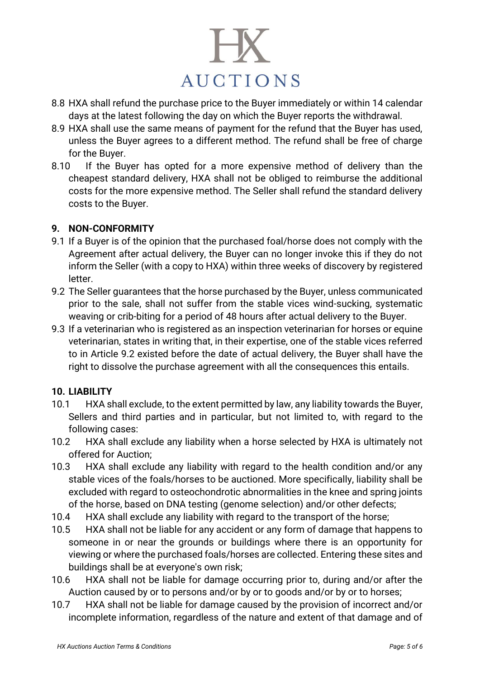

- 8.8 HXA shall refund the purchase price to the Buyer immediately or within 14 calendar days at the latest following the day on which the Buyer reports the withdrawal.
- 8.9 HXA shall use the same means of payment for the refund that the Buyer has used, unless the Buyer agrees to a different method. The refund shall be free of charge for the Buyer.
- 8.10 If the Buyer has opted for a more expensive method of delivery than the cheapest standard delivery, HXA shall not be obliged to reimburse the additional costs for the more expensive method. The Seller shall refund the standard delivery costs to the Buyer.

#### **9. NON-CONFORMITY**

- 9.1 If a Buyer is of the opinion that the purchased foal/horse does not comply with the Agreement after actual delivery, the Buyer can no longer invoke this if they do not inform the Seller (with a copy to HXA) within three weeks of discovery by registered letter.
- 9.2 The Seller guarantees that the horse purchased by the Buyer, unless communicated prior to the sale, shall not suffer from the stable vices wind-sucking, systematic weaving or crib-biting for a period of 48 hours after actual delivery to the Buyer.
- 9.3 If a veterinarian who is registered as an inspection veterinarian for horses or equine veterinarian, states in writing that, in their expertise, one of the stable vices referred to in Article 9.2 existed before the date of actual delivery, the Buyer shall have the right to dissolve the purchase agreement with all the consequences this entails.

# **10. LIABILITY**

- 10.1 HXA shall exclude, to the extent permitted by law, any liability towards the Buyer, Sellers and third parties and in particular, but not limited to, with regard to the following cases:
- 10.2 HXA shall exclude any liability when a horse selected by HXA is ultimately not offered for Auction;
- 10.3 HXA shall exclude any liability with regard to the health condition and/or any stable vices of the foals/horses to be auctioned. More specifically, liability shall be excluded with regard to osteochondrotic abnormalities in the knee and spring joints of the horse, based on DNA testing (genome selection) and/or other defects;
- 10.4 HXA shall exclude any liability with regard to the transport of the horse;
- 10.5 HXA shall not be liable for any accident or any form of damage that happens to someone in or near the grounds or buildings where there is an opportunity for viewing or where the purchased foals/horses are collected. Entering these sites and buildings shall be at everyone's own risk;
- 10.6 HXA shall not be liable for damage occurring prior to, during and/or after the Auction caused by or to persons and/or by or to goods and/or by or to horses;
- 10.7 HXA shall not be liable for damage caused by the provision of incorrect and/or incomplete information, regardless of the nature and extent of that damage and of